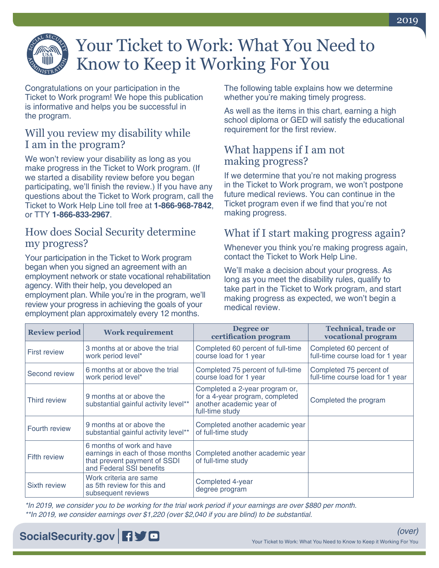

# Your Ticket to Work: What You Need to Know to Keep it Working For You

Congratulations on your participation in the Ticket to Work program! We hope this publication is informative and helps you be successful in the program.

### Will you review my disability while I am in the program?

We won't review your disability as long as you make progress in the Ticket to Work program. (If we started a disability review before you began participating, we'll finish the review.) If you have any questions about the Ticket to Work program, call the Ticket to Work Help Line toll free at **1-866-968-7842**, or TTY **1-866-833-2967**.

#### How does Social Security determine my progress?

Your participation in the Ticket to Work program began when you signed an agreement with an employment network or state vocational rehabilitation agency. With their help, you developed an employment plan. While you're in the program, we'll review your progress in achieving the goals of your employment plan approximately every 12 months.

The following table explains how we determine whether you're making timely progress.

As well as the items in this chart, earning a high school diploma or GED will satisfy the educational requirement for the first review.

## What happens if I am not making progress?

If we determine that you're not making progress in the Ticket to Work program, we won't postpone future medical reviews. You can continue in the Ticket program even if we find that you're not making progress.

## What if I start making progress again?

Whenever you think you're making progress again, contact the Ticket to Work Help Line.

We'll make a decision about your progress. As long as you meet the disability rules, qualify to take part in the Ticket to Work program, and start making progress as expected, we won't begin a medical review.

| <b>Review period</b> | <b>Work requirement</b>                                                                                                   | Degree or<br>certification program                                                                               | <b>Technical, trade or</b><br>vocational program            |
|----------------------|---------------------------------------------------------------------------------------------------------------------------|------------------------------------------------------------------------------------------------------------------|-------------------------------------------------------------|
| <b>First review</b>  | 3 months at or above the trial<br>work period level*                                                                      | Completed 60 percent of full-time<br>course load for 1 year                                                      | Completed 60 percent of<br>full-time course load for 1 year |
| Second review        | 6 months at or above the trial<br>work period level*                                                                      | Completed 75 percent of full-time<br>course load for 1 year                                                      | Completed 75 percent of<br>full-time course load for 1 year |
| Third review         | 9 months at or above the<br>substantial gainful activity level**                                                          | Completed a 2-year program or,<br>for a 4-year program, completed<br>another academic year of<br>full-time study | Completed the program                                       |
| Fourth review        | 9 months at or above the<br>substantial gainful activity level**                                                          | Completed another academic year<br>of full-time study                                                            |                                                             |
| <b>Fifth review</b>  | 6 months of work and have<br>earnings in each of those months<br>that prevent payment of SSDI<br>and Federal SSI benefits | Completed another academic year<br>of full-time study                                                            |                                                             |
| Sixth review         | Work criteria are same<br>as 5th review for this and<br>subsequent reviews                                                | Completed 4-year<br>degree program                                                                               |                                                             |

*\*In 2019, we consider you to be working for the trial work period if your earnings are over \$880 per month. \*\*In 2019, we consider earnings over \$1,220 (over \$2,040 if you are blind) to be substantial.*

# **[SocialSecurity.gov](http://SocialSecurity.gov) 日子回**